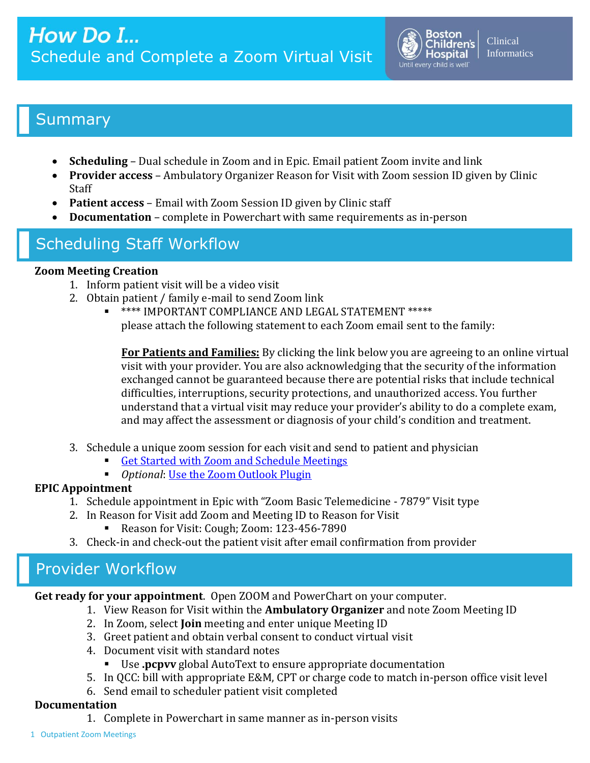

## **Summary**

- **Scheduling** Dual schedule in Zoom and in Epic. Email patient Zoom invite and link
- **Provider access** Ambulatory Organizer Reason for Visit with Zoom session ID given by Clinic Staff
- **Patient access** Email with Zoom Session ID given by Clinic staff
- **Documentation** complete in Powerchart with same requirements as in-person

# Scheduling Staff Workflow

## **Zoom Meeting Creation**

- 1. Inform patient visit will be a video visit
- 2. Obtain patient / family e-mail to send Zoom link
	- **\*** \*\*\*\* IMPORTANT COMPLIANCE AND LEGAL STATEMENT \*\*\*\*\* please attach the following statement to each Zoom email sent to the family:

**For Patients and Families:** By clicking the link below you are agreeing to an online virtual visit with your provider. You are also acknowledging that the security of the information exchanged cannot be guaranteed because there are potential risks that include technical difficulties, interruptions, security protections, and unauthorized access. You further understand that a virtual visit may reduce your provider's ability to do a complete exam, and may affect the assessment or diagnosis of your child's condition and treatment.

- 3. Schedule a unique zoom session for each visit and send to patient and physician
	- [Get Started with Zoom and Schedule Meetings](http://web2.tch.harvard.edu/ehelp/Documents/Zoom101.pdf)
	- *Optional: [Use the Zoom Outlook Plugin](http://web2.tch.harvard.edu/ehelp/Documents/Zoom_OutlookPlugin.pdf)*

## **EPIC Appointment**

- 1. Schedule appointment in Epic with "Zoom Basic Telemedicine 7879" Visit type
- 2. In Reason for Visit add Zoom and Meeting ID to Reason for Visit
	- Reason for Visit: Cough; Zoom: 123-456-7890
- 3. Check-in and check-out the patient visit after email confirmation from provider

## Provider Workflow

**Get ready for your appointment**. Open ZOOM and PowerChart on your computer.

- 1. View Reason for Visit within the **Ambulatory Organizer** and note Zoom Meeting ID
- 2. In Zoom, select **Join** meeting and enter unique Meeting ID
- 3. Greet patient and obtain verbal consent to conduct virtual visit
- 4. Document visit with standard notes
	- Use **.pcpvv** global AutoText to ensure appropriate documentation
- 5. In QCC: bill with appropriate E&M, CPT or charge code to match in-person office visit level
- 6. Send email to scheduler patient visit completed

## **Documentation**

1. Complete in Powerchart in same manner as in-person visits